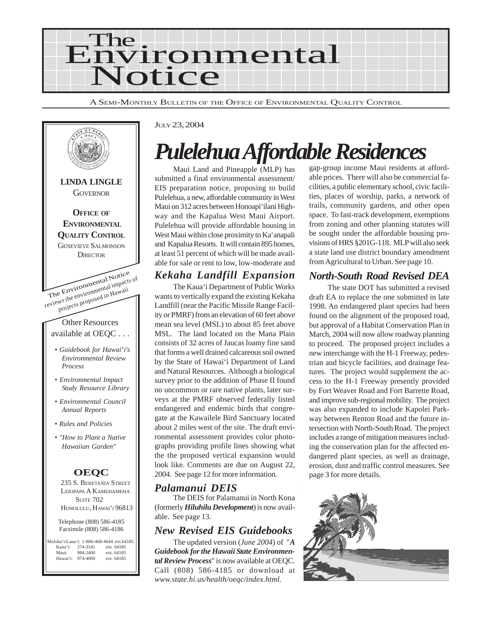

A SEMI-MONTHLY BULLETIN OF THE OFFICE OF ENVIRONMENTAL QUALITY CONTROL



#### JULY 23, 2004

# *Pulelehua Affordable Residences*

Maui Land and Pineapple (MLP) has submitted a final environmental assessment/ EIS preparation notice, proposing to build Pulelehua, a new, affordable community in West Maui on 312 acres between Honoapi'ilani Highway and the Kapalua West Maui Airport. Pulelehua will provide affordable housing in West Maui within close proximity to Ka'anapali and Kapalua Resorts. It will contain 895 homes, at least 51 percent of which will be made available for sale or rent to low, low-moderate and

#### *Kekaha Landfill Expansion*

The Kaua'i Department of Public Works wants to vertically expand the existing Kekaha Landfill (near the Pacific Missile Range Facility or PMRF) from an elevation of 60 feet above mean sea level (MSL) to about 85 feet above MSL. The land located on the Mana Plain consists of 32 acres of Jaucas loamy fine sand that forms a well drained calcareous soil owned by the State of Hawai'i Department of Land and Natural Resources. Although a biological survey prior to the addition of Phase II found no uncommon or rare native plants, later surveys at the PMRF observed federally listed endangered and endemic birds that congregate at the Kawailele Bird Sanctuary located about 2 miles west of the site. The draft environmental assessment provides color photographs providing profile lines showing what the the proposed vertical expansion would look like. Comments are due on August 22, 2004. See page 12 for more information.

#### *Palamanui DEIS*

The DEIS for Palamanui in North Kona (formerly *Hiluhilu Development*) is now available. See page 13.

#### *New Revised EIS Guidebooks*

The updated version (*June 2004*) of "*A Guidebook for the Hawaii State Environmental Review Process*" is now available at OEQC. Call (808) 586-4185 or download at *www.state.hi.us/health/oeqc/index.html.*

gap-group income Maui residents at affordable prices. There will also be commercial facilities, a public elementary school, civic facilities, places of worship, parks, a network of trails, community gardens, and other open space. To fast-track development, exemptions from zoning and other planning statutes will be sought under the affordable housing provisions of HRS §201G-118. MLP will also seek a state land use district boundary amendment from Agricultural to Urban. See page 10.

#### *North-South Road Revised DEA*

The state DOT has submitted a revised draft EA to replace the one submitted in late 1998. An endangered plant species had been found on the alignment of the proposed road, but approval of a Habitat Conservation Plan in March, 2004 will now allow roadway planning to proceed. The proposed project includes a new interchange with the H-1 Freeway, pedestrian and bicycle facilities, and drainage features. The project would supplement the access to the H-1 Freeway presently provided by Fort Weaver Road and Fort Barrette Road, and improve sub-regional mobility. The project was also expanded to include Kapolei Parkway between Renton Road and the future intersection with North-South Road. The project includes a range of mitigation measures including the conservation plan for the affected endangered plant species, as well as drainage, erosion, dust and traffic control measures. See page 3 for more details.

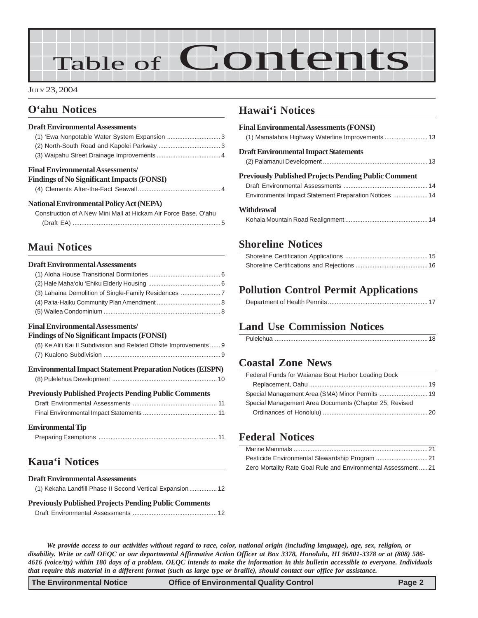# Table of Contents

JULY 23, 2004

#### **O'ahu Notices**

#### **Draft Environmental Assessments**

| <b>Final Environmental Assessments/</b><br>Findings of No Significant Impacts (FONSI). |  |  |  |  |  |
|----------------------------------------------------------------------------------------|--|--|--|--|--|
|                                                                                        |  |  |  |  |  |
|                                                                                        |  |  |  |  |  |
|                                                                                        |  |  |  |  |  |
|                                                                                        |  |  |  |  |  |

#### **Findings of No Significant Impacts (FONSI)**

#### **National Environmental Policy Act (NEPA)**

| Construction of A New Mini Mall at Hickam Air Force Base, O'ahu |  |
|-----------------------------------------------------------------|--|
|                                                                 |  |

#### **Maui Notices**

#### **Draft Environmental Assessments**

| (3) Lahaina Demolition of Single-Family Residences |  |
|----------------------------------------------------|--|
|                                                    |  |
|                                                    |  |

#### **Final Environmental Assessments/**

#### **Findings of No Significant Impacts (FONSI)**

| <b>Previously Published Projects Pending Public Comments</b>        |  |
|---------------------------------------------------------------------|--|
| <b>Environmental Impact Statement Preparation Notices (EISPN)</b>   |  |
| (6) Ke Ali'i Kai II Subdivision and Related Offsite Improvements  9 |  |
|                                                                     |  |

#### [Draft Environmental Assessments](#page-10-0) ................................................. 11 [Final Environmental Impact Statements ........................................... 11](#page-10-0)

#### **Environmental Tip**

|--|--|--|--|

#### **Kaua'i Notices**

| <b>Draft Environmental Assessments</b>                     |  |  |  |  |
|------------------------------------------------------------|--|--|--|--|
| (1) Kekaha Landfill Phase II Second Vertical Expansion  12 |  |  |  |  |

#### **Previously Published Projects Pending Public Comments**

[Draft Environmental Assessments](#page-11-0) .................................................12

#### **[Hawai'i Notices](#page-12-0)**

| <b>Final Environmental Assessments (FONSI)</b>              |
|-------------------------------------------------------------|
| <b>Draft Environmental Impact Statements</b>                |
|                                                             |
| <b>Previously Published Projects Pending Public Comment</b> |
|                                                             |
| Environmental Impact Statement Preparation Notices  14      |
| Withdrawal                                                  |
|                                                             |

#### **[Shoreline Notices](#page-14-0)**

#### **Pollution Control Permit Applications**

#### **[Land Use Commission Notices](#page-17-0)**

|--|

#### **Coastal Zone News**

| Federal Funds for Waianae Boat Harbor Loading Dock     |  |
|--------------------------------------------------------|--|
|                                                        |  |
| Special Management Area (SMA) Minor Permits  19        |  |
| Special Management Area Documents (Chapter 25, Revised |  |
|                                                        |  |
|                                                        |  |

#### **Federal Notices**

| Zero Mortality Rate Goal Rule and Environmental Assessment  21 |  |
|----------------------------------------------------------------|--|

*We provide access to our activities without regard to race, color, national origin (including language), age, sex, religion, or disability. Write or call OEQC or our departmental Affirmative Action Officer at Box 3378, Honolulu, HI 96801-3378 or at (808) 586- 4616 (voice/tty) within 180 days of a problem. OEQC intends to make the information in this bulletin accessible to everyone. Individuals that require this material in a different format (such as large type or braille), should contact our office for assistance.*

**The Environmental Notice Office of Environmental Quality Control Page 2**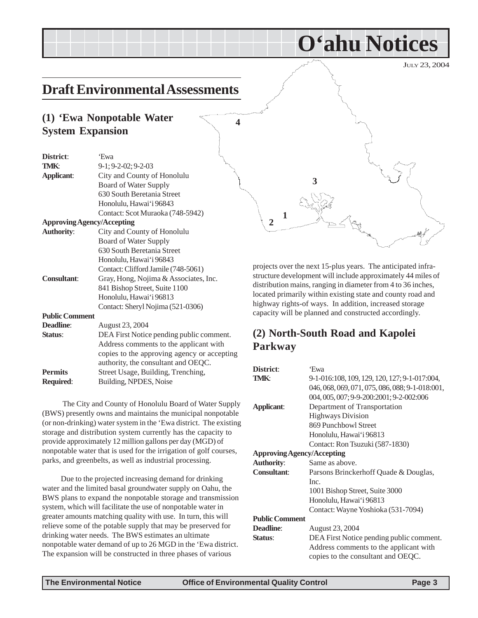### <span id="page-2-0"></span>**Draft Environmental Assessments**

#### **(1) 'Ewa Nonpotable Water System Expansion**

| District:                         | 'Ewa                                     |  |
|-----------------------------------|------------------------------------------|--|
| <b>TMK:</b>                       | $9-1; 9-2-02; 9-2-03$                    |  |
| <b>Applicant:</b>                 | City and County of Honolulu              |  |
|                                   | Board of Water Supply                    |  |
|                                   | 630 South Beretania Street               |  |
|                                   | Honolulu, Hawai'i 96843                  |  |
|                                   | Contact: Scot Muraoka (748-5942)         |  |
| <b>Approving Agency/Accepting</b> |                                          |  |
| <b>Authority:</b>                 | City and County of Honolulu              |  |
|                                   | Board of Water Supply                    |  |
|                                   | 630 South Beretania Street               |  |
|                                   | Honolulu, Hawai'i 96843                  |  |
|                                   | Contact: Clifford Jamile (748-5061)      |  |
| <b>Consultant:</b>                | Gray, Hong, Nojima & Associates, Inc.    |  |
|                                   | 841 Bishop Street, Suite 1100            |  |
|                                   | Honolulu, Hawai'i 96813                  |  |
|                                   | Contact: Sheryl Nojima (521-0306)        |  |
| <b>Public Comment</b>             |                                          |  |
| <b>Deadline:</b>                  | August 23, 2004                          |  |
| Status:                           | DEA First Notice pending public comment. |  |
|                                   |                                          |  |

|                  | Address comments to the applicant with      |
|------------------|---------------------------------------------|
|                  | copies to the approving agency or accepting |
|                  | authority, the consultant and OEOC.         |
| <b>Permits</b>   | Street Usage, Building, Trenching,          |
| <b>Required:</b> | Building, NPDES, Noise                      |

 The City and County of Honolulu Board of Water Supply (BWS) presently owns and maintains the municipal nonpotable (or non-drinking) water system in the 'Ewa district. The existing storage and distribution system currently has the capacity to provide approximately 12 million gallons per day (MGD) of nonpotable water that is used for the irrigation of golf courses, parks, and greenbelts, as well as industrial processing.

Due to the projected increasing demand for drinking water and the limited basal groundwater supply on Oahu, the BWS plans to expand the nonpotable storage and transmission system, which will facilitate the use of nonpotable water in greater amounts matching quality with use. In turn, this will relieve some of the potable supply that may be preserved for drinking water needs. The BWS estimates an ultimate nonpotable water demand of up to 26 MGD in the 'Ewa district. The expansion will be constructed in three phases of various



**O'ahu Notices**

projects over the next 15-plus years. The anticipated infrastructure development will include approximately 44 miles of distribution mains, ranging in diameter from 4 to 36 inches, located primarily within existing state and county road and highway rights-of ways. In addition, increased storage capacity will be planned and constructed accordingly.

#### **(2) North-South Road and Kapolei Parkway**

| District:                         | 'Ewa                                            |  |
|-----------------------------------|-------------------------------------------------|--|
| TMK:                              | 9-1-016:108, 109, 129, 120, 127; 9-1-017:004,   |  |
|                                   | 046, 068, 069, 071, 075, 086, 088; 9-1-018:001, |  |
|                                   | 004, 005, 007; 9-9-200: 2001; 9-2-002: 006      |  |
| Applicant:                        | Department of Transportation                    |  |
|                                   | <b>Highways Division</b>                        |  |
|                                   | 869 Punchbowl Street                            |  |
|                                   | Honolulu, Hawai'i 96813                         |  |
|                                   | Contact: Ron Tsuzuki (587-1830)                 |  |
| <b>Approving Agency/Accepting</b> |                                                 |  |
| <b>Authority:</b>                 | Same as above.                                  |  |
| <b>Consultant:</b>                | Parsons Brinckerhoff Quade & Douglas,           |  |
|                                   | Inc.                                            |  |
|                                   | 1001 Bishop Street, Suite 3000                  |  |
|                                   | Honolulu, Hawai'i 96813                         |  |
|                                   | Contact: Wayne Yoshioka (531-7094)              |  |
| <b>Public Comment</b>             |                                                 |  |
| <b>Deadline:</b>                  | August 23, 2004                                 |  |
| <b>Status:</b>                    | DEA First Notice pending public comment.        |  |
|                                   | Address comments to the applicant with          |  |
|                                   | copies to the consultant and OEQC.              |  |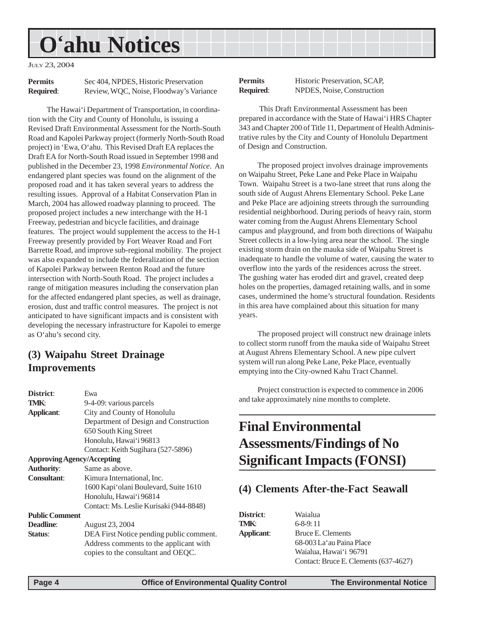# <span id="page-3-0"></span>**O'ahu Notices**

JULY 23, 2004

**Permits** Sec 404, NPDES, Historic Preservation **Required:** Review, WQC, Noise, Floodway's Variance

The Hawai'i Department of Transportation, in coordination with the City and County of Honolulu, is issuing a Revised Draft Environmental Assessment for the North-South Road and Kapolei Parkway project (formerly North-South Road project) in 'Ewa, O'ahu. This Revised Draft EA replaces the Draft EA for North-South Road issued in September 1998 and published in the December 23, 1998 *Environmental Notice*. An endangered plant species was found on the alignment of the proposed road and it has taken several years to address the resulting issues. Approval of a Habitat Conservation Plan in March, 2004 has allowed roadway planning to proceed. The proposed project includes a new interchange with the H-1 Freeway, pedestrian and bicycle facilities, and drainage features. The project would supplement the access to the H-1 Freeway presently provided by Fort Weaver Road and Fort Barrette Road, and improve sub-regional mobility. The project was also expanded to include the federalization of the section of Kapolei Parkway between Renton Road and the future intersection with North-South Road. The project includes a range of mitigation measures including the conservation plan for the affected endangered plant species, as well as drainage, erosion, dust and traffic control measures. The project is not anticipated to have significant impacts and is consistent with developing the necessary infrastructure for Kapolei to emerge as O'ahu's second city.

#### **(3) Waipahu Street Drainage Improvements**

| District:             | Ewa                                      |  |  |
|-----------------------|------------------------------------------|--|--|
| TMK:                  | 9-4-09: various parcels                  |  |  |
| <b>Applicant:</b>     | City and County of Honolulu              |  |  |
|                       | Department of Design and Construction    |  |  |
|                       | 650 South King Street                    |  |  |
|                       | Honolulu, Hawai'i 96813                  |  |  |
|                       | Contact: Keith Sugihara (527-5896)       |  |  |
|                       | <b>Approving Agency/Accepting</b>        |  |  |
| <b>Authority:</b>     | Same as above.                           |  |  |
| <b>Consultant:</b>    | Kimura International, Inc.               |  |  |
|                       | 1600 Kapi'olani Boulevard, Suite 1610    |  |  |
|                       | Honolulu, Hawai'i 96814                  |  |  |
|                       | Contact: Ms. Leslie Kurisaki (944-8848)  |  |  |
| <b>Public Comment</b> |                                          |  |  |
| <b>Deadline:</b>      | August 23, 2004                          |  |  |
| Status:               | DEA First Notice pending public comment. |  |  |
|                       | Address comments to the applicant with   |  |  |
|                       | copies to the consultant and OEQC.       |  |  |

**Permits** Historic Preservation, SCAP, **Required**: NPDES, Noise, Construction

 This Draft Environmental Assessment has been prepared in accordance with the State of Hawai'i HRS Chapter 343 and Chapter 200 of Title 11, Department of Health Administrative rules by the City and County of Honolulu Department of Design and Construction.

The proposed project involves drainage improvements on Waipahu Street, Peke Lane and Peke Place in Waipahu Town. Waipahu Street is a two-lane street that runs along the south side of August Ahrens Elementary School. Peke Lane and Peke Place are adjoining streets through the surrounding residential neighborhood. During periods of heavy rain, storm water coming from the August Ahrens Elementary School campus and playground, and from both directions of Waipahu Street collects in a low-lying area near the school. The single existing storm drain on the mauka side of Waipahu Street is inadequate to handle the volume of water, causing the water to overflow into the yards of the residences across the street. The gushing water has eroded dirt and gravel, created deep holes on the properties, damaged retaining walls, and in some cases, undermined the home's structural foundation. Residents in this area have complained about this situation for many years.

The proposed project will construct new drainage inlets to collect storm runoff from the mauka side of Waipahu Street at August Ahrens Elementary School. A new pipe culvert system will run along Peke Lane, Peke Place, eventually emptying into the City-owned Kahu Tract Channel.

Project construction is expected to commence in 2006 and take approximately nine months to complete.

### **Final Environmental Assessments/Findings of No Significant Impacts (FONSI)**

#### **(4) Clements After-the-Fact Seawall**

| District:<br>TMK: | Waialua<br>$6 - 8 - 9:11$             |
|-------------------|---------------------------------------|
| Applicant:        | Bruce E. Clements                     |
|                   | 68-003 La'au Paina Place              |
|                   | Waialua, Hawai'i 96791                |
|                   | Contact: Bruce E. Clements (637-4627) |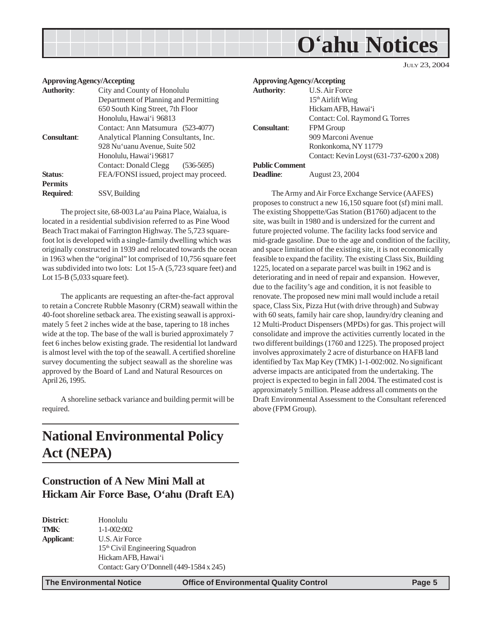<span id="page-4-0"></span>

#### **Approving Agency/Accepting**

| <b>Authority:</b>  | City and County of Honolulu            |
|--------------------|----------------------------------------|
|                    | Department of Planning and Permitting  |
|                    | 650 South King Street, 7th Floor       |
|                    | Honolulu, Hawai'i 96813                |
|                    | Contact: Ann Matsumura (523-4077)      |
| <b>Consultant:</b> | Analytical Planning Consultants, Inc.  |
|                    | 928 Nu'uanu Avenue, Suite 502          |
|                    | Honolulu, Hawai'i 96817                |
|                    | Contact: Donald Clegg<br>$(536-5695)$  |
| Status:            | FEA/FONSI issued, project may proceed. |
| <b>Permits</b>     |                                        |
| <b>Required:</b>   | SSV, Building                          |
|                    |                                        |

The project site, 68-003 La'au Paina Place, Waialua, is located in a residential subdivision referred to as Pine Wood Beach Tract makai of Farrington Highway. The 5,723 squarefoot lot is developed with a single-family dwelling which was originally constructed in 1939 and relocated towards the ocean in 1963 when the "original" lot comprised of 10,756 square feet was subdivided into two lots: Lot 15-A (5,723 square feet) and Lot 15-B (5,033 square feet).

The applicants are requesting an after-the-fact approval to retain a Concrete Rubble Masonry (CRM) seawall within the 40-foot shoreline setback area. The existing seawall is approximately 5 feet 2 inches wide at the base, tapering to 18 inches wide at the top. The base of the wall is buried approximately 7 feet 6 inches below existing grade. The residential lot landward is almost level with the top of the seawall. A certified shoreline survey documenting the subject seawall as the shoreline was approved by the Board of Land and Natural Resources on April 26, 1995.

A shoreline setback variance and building permit will be required.

### **National Environmental Policy Act (NEPA)**

#### **Construction of A New Mini Mall at Hickam Air Force Base, O'ahu (Draft EA)**

**District**: Honolulu **TMK:** 1-1-002:002 **Applicant**: U.S. Air Force 15<sup>th</sup> Civil Engineering Squadron Hickam AFB, Hawai'i Contact: Gary O'Donnell (449-1584 x 245)

**Approving Agency/Accepting Authority**: U.S. Air Force 15th Airlift Wing Hickam AFB, Hawai'i Contact: Col. Raymond G. Torres **Consultant**: FPM Group 909 Marconi Avenue Ronkonkoma, NY 11779 Contact: Kevin Loyst (631-737-6200 x 208) **Public Comment Deadline**: August 23, 2004

The Army and Air Force Exchange Service (AAFES) proposes to construct a new 16,150 square foot (sf) mini mall. The existing Shoppette/Gas Station (B1760) adjacent to the site, was built in 1980 and is undersized for the current and future projected volume. The facility lacks food service and mid-grade gasoline. Due to the age and condition of the facility, and space limitation of the existing site, it is not economically feasible to expand the facility. The existing Class Six, Building 1225, located on a separate parcel was built in 1962 and is deteriorating and in need of repair and expansion. However, due to the facility's age and condition, it is not feasible to renovate. The proposed new mini mall would include a retail space, Class Six, Pizza Hut (with drive through) and Subway with 60 seats, family hair care shop, laundry/dry cleaning and 12 Multi-Product Dispensers (MPDs) for gas. This project will consolidate and improve the activities currently located in the two different buildings (1760 and 1225). The proposed project involves approximately 2 acre of disturbance on HAFB land identified by Tax Map Key (TMK) 1-1-002:002. No significant adverse impacts are anticipated from the undertaking. The project is expected to begin in fall 2004. The estimated cost is approximately 5 million. Please address all comments on the Draft Environmental Assessment to the Consultant referenced above (FPM Group).

**The Environmental Notice Office of Environmental Quality Control Page 5**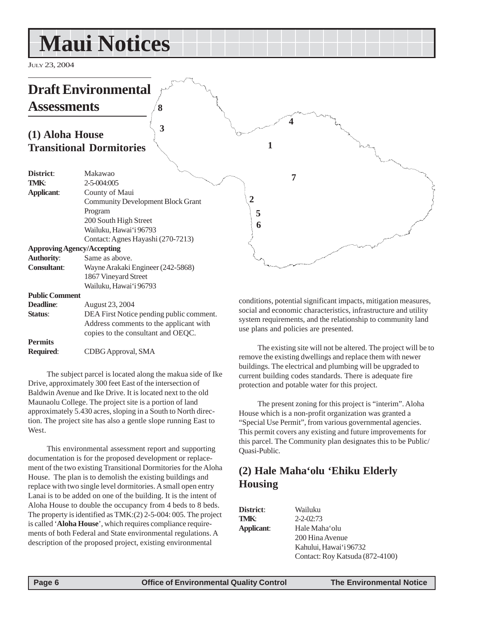# <span id="page-5-0"></span>**Maui Notices**

JULY 23, 2004



Address comments to the applicant with copies to the consultant and OEQC. **Permits Required**: CDBG Approval, SMA

The subject parcel is located along the makua side of Ike Drive, approximately 300 feet East of the intersection of Baldwin Avenue and Ike Drive. It is located next to the old Maunaolu College. The project site is a portion of land approximately 5.430 acres, sloping in a South to North direction. The project site has also a gentle slope running East to West.

This environmental assessment report and supporting documentation is for the proposed development or replacement of the two existing Transitional Dormitories for the Aloha House. The plan is to demolish the existing buildings and replace with two single level dormitories. A small open entry Lanai is to be added on one of the building. It is the intent of Aloha House to double the occupancy from 4 beds to 8 beds. The property is identified as TMK:(2) 2-5-004: 005. The project is called '**Aloha House**', which requires compliance requirements of both Federal and State environmental regulations. A description of the proposed project, existing environmental

use plans and policies are presented.

The existing site will not be altered. The project will be to remove the existing dwellings and replace them with newer buildings. The electrical and plumbing will be upgraded to current building codes standards. There is adequate fire protection and potable water for this project.

The present zoning for this project is "interim". Aloha House which is a non-profit organization was granted a "Special Use Permit", from various governmental agencies. This permit covers any existing and future improvements for this parcel. The Community plan designates this to be Public/ Quasi-Public.

#### **(2) Hale Maha'olu 'Ehiku Elderly Housing**

| <b>District:</b> | Wailuku                         |
|------------------|---------------------------------|
| TMK:             | $2 - 2 - 02:73$                 |
| Applicant:       | Hale Mahaʻolu                   |
|                  | 200 Hina Avenue                 |
|                  | Kahului, Hawai'i 96732          |
|                  | Contact: Roy Katsuda (872-4100) |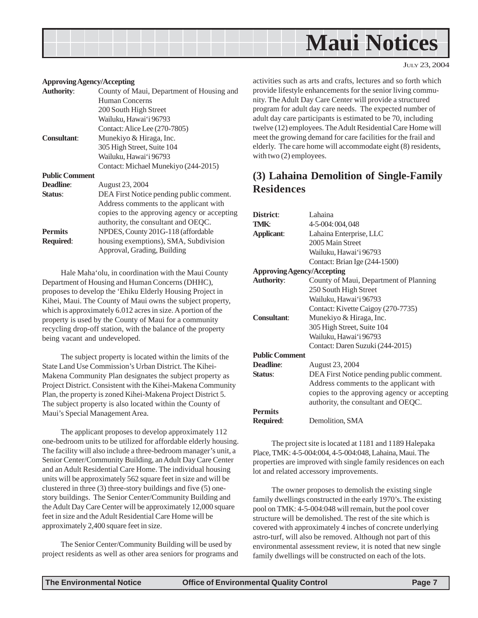<span id="page-6-0"></span>

#### **Approving Agency/Accepting**

| $1$ approximating $1$ and $1/1$ accepting |                                             |
|-------------------------------------------|---------------------------------------------|
| <b>Authority:</b>                         | County of Maui, Department of Housing and   |
|                                           | Human Concerns                              |
|                                           | 200 South High Street                       |
|                                           | Wailuku, Hawai'i 96793                      |
|                                           | Contact: Alice Lee (270-7805)               |
| <b>Consultant:</b>                        | Munekiyo & Hiraga, Inc.                     |
|                                           | 305 High Street, Suite 104                  |
|                                           | Wailuku, Hawai'i 96793                      |
|                                           | Contact: Michael Munekiyo (244-2015)        |
| <b>Public Comment</b>                     |                                             |
| Deadline:                                 | August 23, 2004                             |
| Status:                                   | DEA First Notice pending public comment.    |
|                                           | Address comments to the applicant with      |
|                                           | copies to the approving agency or accepting |
|                                           | authority, the consultant and OEOC.         |
| <b>Permits</b>                            | NPDES, County 201G-118 (affordable          |
| Required:                                 | housing exemptions), SMA, Subdivision       |
|                                           | Approval, Grading, Building                 |
|                                           |                                             |

Hale Maha'olu, in coordination with the Maui County Department of Housing and Human Concerns (DHHC), proposes to develop the 'Ehiku Elderly Housing Project in Kihei, Maui. The County of Maui owns the subject property, which is approximately 6.012 acres in size. A portion of the property is used by the County of Maui for a community recycling drop-off station, with the balance of the property being vacant and undeveloped.

The subject property is located within the limits of the State Land Use Commission's Urban District. The Kihei-Makena Community Plan designates the subject property as Project District. Consistent with the Kihei-Makena Community Plan, the property is zoned Kihei-Makena Project District 5. The subject property is also located within the County of Maui's Special Management Area.

The applicant proposes to develop approximately 112 one-bedroom units to be utilized for affordable elderly housing. The facility will also include a three-bedroom manager's unit, a Senior Center/Community Building, an Adult Day Care Center and an Adult Residential Care Home. The individual housing units will be approximately 562 square feet in size and will be clustered in three (3) three-story buildings and five (5) onestory buildings. The Senior Center/Community Building and the Adult Day Care Center will be approximately 12,000 square feet in size and the Adult Residential Care Home will be approximately 2,400 square feet in size.

The Senior Center/Community Building will be used by project residents as well as other area seniors for programs and activities such as arts and crafts, lectures and so forth which provide lifestyle enhancements for the senior living community. The Adult Day Care Center will provide a structured program for adult day care needs. The expected number of adult day care participants is estimated to be 70, including twelve (12) employees. The Adult Residential Care Home will meet the growing demand for care facilities for the frail and elderly. The care home will accommodate eight (8) residents, with two  $(2)$  employees.

JULY 23, 2004

#### **(3) Lahaina Demolition of Single-Family Residences**

| District:                         | Lahaina                                     |
|-----------------------------------|---------------------------------------------|
| TMK:                              | 4-5-004:004,048                             |
| <b>Applicant:</b>                 | Lahaina Enterprise, LLC                     |
|                                   | 2005 Main Street                            |
|                                   | Wailuku, Hawai'i 96793                      |
|                                   | Contact: Brian Ige (244-1500)               |
| <b>Approving Agency/Accepting</b> |                                             |
| <b>Authority:</b>                 | County of Maui, Department of Planning      |
|                                   | 250 South High Street                       |
|                                   | Wailuku, Hawai'i 96793                      |
|                                   | Contact: Kivette Caigoy (270-7735)          |
| <b>Consultant:</b>                | Munekiyo & Hiraga, Inc.                     |
|                                   | 305 High Street, Suite 104                  |
|                                   | Wailuku, Hawai'i 96793                      |
|                                   | Contact: Daren Suzuki (244-2015)            |
| <b>Public Comment</b>             |                                             |
| <b>Deadline:</b>                  | August 23, 2004                             |
| Status:                           | DEA First Notice pending public comment.    |
|                                   | Address comments to the applicant with      |
|                                   | copies to the approving agency or accepting |
|                                   | authority, the consultant and OEQC.         |
| <b>Permits</b>                    |                                             |
| <b>Required:</b>                  | Demolition, SMA                             |
|                                   |                                             |

The project site is located at 1181 and 1189 Halepaka Place, TMK: 4-5-004:004, 4-5-004:048, Lahaina, Maui. The properties are improved with single family residences on each lot and related accessory improvements.

The owner proposes to demolish the existing single family dwellings constructed in the early 1970's. The existing pool on TMK: 4-5-004:048 will remain, but the pool cover structure will be demolished. The rest of the site which is covered with approximately 4 inches of concrete underlying astro-turf, will also be removed. Although not part of this environmental assessment review, it is noted that new single family dwellings will be constructed on each of the lots.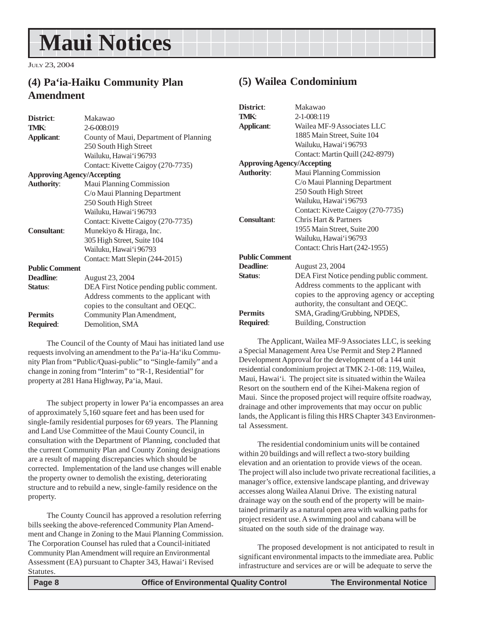# <span id="page-7-0"></span>**Maui Notices**

JULY 23, 2004

#### **(4) Pa'ia-Haiku Community Plan Amendment**

| District:                         | Makawao                                  |  |
|-----------------------------------|------------------------------------------|--|
| TMK:                              | 2-6-008:019                              |  |
| <b>Applicant:</b>                 | County of Maui, Department of Planning   |  |
|                                   | 250 South High Street                    |  |
|                                   | Wailuku, Hawai'i 96793                   |  |
|                                   | Contact: Kivette Caigoy (270-7735)       |  |
| <b>Approving Agency/Accepting</b> |                                          |  |
| <b>Authority:</b>                 | Maui Planning Commission                 |  |
|                                   | C/o Maui Planning Department             |  |
|                                   | 250 South High Street                    |  |
|                                   | Wailuku, Hawai'i 96793                   |  |
|                                   | Contact: Kivette Caigoy (270-7735)       |  |
| <b>Consultant:</b>                | Munekiyo & Hiraga, Inc.                  |  |
|                                   | 305 High Street, Suite 104               |  |
|                                   | Wailuku, Hawai'i 96793                   |  |
|                                   | Contact: Matt Slepin (244-2015)          |  |
| <b>Public Comment</b>             |                                          |  |
| Deadline:                         | August 23, 2004                          |  |
| Status:                           | DEA First Notice pending public comment. |  |
|                                   | Address comments to the applicant with   |  |
|                                   | copies to the consultant and OEQC.       |  |
| <b>Permits</b>                    | Community Plan Amendment,                |  |
| Required:                         | Demolition, SMA                          |  |

The Council of the County of Maui has initiated land use requests involving an amendment to the Pa'ia-Ha'iku Community Plan from "Public/Quasi-public" to "Single-family" and a change in zoning from "Interim" to "R-1, Residential" for property at 281 Hana Highway, Pa'ia, Maui.

The subject property in lower Pa'ia encompasses an area of approximately 5,160 square feet and has been used for single-family residential purposes for 69 years. The Planning and Land Use Committee of the Maui County Council, in consultation with the Department of Planning, concluded that the current Community Plan and County Zoning designations are a result of mapping discrepancies which should be corrected. Implementation of the land use changes will enable the property owner to demolish the existing, deteriorating structure and to rebuild a new, single-family residence on the property.

The County Council has approved a resolution referring bills seeking the above-referenced Community Plan Amendment and Change in Zoning to the Maui Planning Commission. The Corporation Counsel has ruled that a Council-initiated Community Plan Amendment will require an Environmental Assessment (EA) pursuant to Chapter 343, Hawai'i Revised Statutes.

#### **(5) Wailea Condominium**

| Makawao                                     |
|---------------------------------------------|
| 2-1-008:119                                 |
|                                             |
| Wailea MF-9 Associates LLC                  |
| 1885 Main Street, Suite 104                 |
| Wailuku, Hawai'i 96793                      |
| Contact: Martin Quill (242-8979)            |
| <b>Approving Agency/Accepting</b>           |
| Maui Planning Commission                    |
| C/o Maui Planning Department                |
| 250 South High Street                       |
| Wailuku, Hawai'i 96793                      |
| Contact: Kivette Caigoy (270-7735)          |
| Chris Hart & Partners                       |
| 1955 Main Street, Suite 200                 |
| Wailuku, Hawai'i 96793                      |
| Contact: Chris Hart (242-1955)              |
| <b>Public Comment</b>                       |
| August 23, 2004                             |
| DEA First Notice pending public comment.    |
| Address comments to the applicant with      |
| copies to the approving agency or accepting |
| authority, the consultant and OEQC.         |
| SMA, Grading/Grubbing, NPDES,               |
| Building, Construction                      |
|                                             |

The Applicant, Wailea MF-9 Associates LLC, is seeking a Special Management Area Use Permit and Step 2 Planned Development Approval for the development of a 144 unit residential condominium project at TMK 2-1-08: 119, Wailea, Maui, Hawai'i. The project site is situated within the Wailea Resort on the southern end of the Kihei-Makena region of Maui. Since the proposed project will require offsite roadway, drainage and other improvements that may occur on public lands, the Applicant is filing this HRS Chapter 343 Environmental Assessment.

The residential condominium units will be contained within 20 buildings and will reflect a two-story building elevation and an orientation to provide views of the ocean. The project will also include two private recreational facilities, a manager's office, extensive landscape planting, and driveway accesses along Wailea Alanui Drive. The existing natural drainage way on the south end of the property will be maintained primarily as a natural open area with walking paths for project resident use. A swimming pool and cabana will be situated on the south side of the drainage way.

The proposed development is not anticipated to result in significant environmental impacts to the immediate area. Public infrastructure and services are or will be adequate to serve the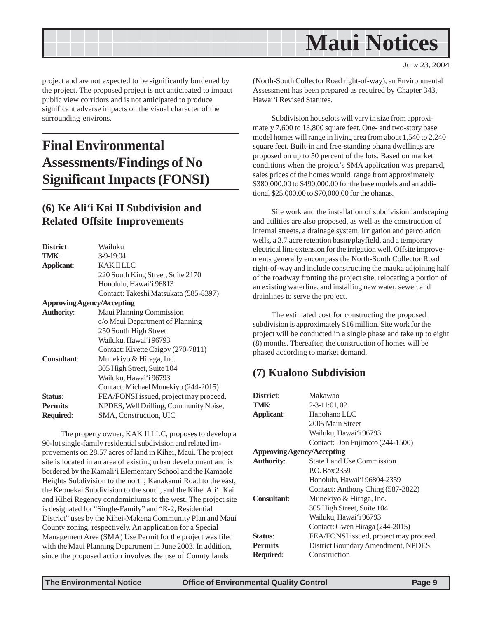<span id="page-8-0"></span>

project and are not expected to be significantly burdened by the project. The proposed project is not anticipated to impact public view corridors and is not anticipated to produce significant adverse impacts on the visual character of the surrounding environs.

### **Final Environmental Assessments/Findings of No Significant Impacts (FONSI)**

#### **(6) Ke Ali'i Kai II Subdivision and Related Offsite Improvements**

| District:          | Wailuku                                |
|--------------------|----------------------------------------|
| TMK:               | 3-9-19:04                              |
| <b>Applicant:</b>  | <b>KAK IILLC</b>                       |
|                    | 220 South King Street, Suite 2170      |
|                    | Honolulu, Hawai'i 96813                |
|                    | Contact: Takeshi Matsukata (585-8397)  |
|                    | <b>Approving Agency/Accepting</b>      |
| <b>Authority:</b>  | Maui Planning Commission               |
|                    | c/o Maui Department of Planning        |
|                    | 250 South High Street                  |
|                    | Wailuku, Hawai'i 96793                 |
|                    | Contact: Kivette Caigoy (270-7811)     |
| <b>Consultant:</b> | Munekiyo & Hiraga, Inc.                |
|                    | 305 High Street, Suite 104             |
|                    | Wailuku, Hawai'i 96793                 |
|                    | Contact: Michael Munekiyo (244-2015)   |
| Status:            | FEA/FONSI issued, project may proceed. |
| <b>Permits</b>     | NPDES, Well Drilling, Community Noise, |
| <b>Required:</b>   | <b>SMA, Construction, UIC</b>          |
|                    |                                        |

The property owner, KAK II LLC, proposes to develop a 90-lot single-family residential subdivision and related improvements on 28.57 acres of land in Kihei, Maui. The project site is located in an area of existing urban development and is bordered by the Kamali'i Elementary School and the Kamaole Heights Subdivision to the north, Kanakanui Road to the east, the Keonekai Subdivision to the south, and the Kihei Ali'i Kai and Kihei Regency condominiums to the west. The project site is designated for "Single-Family" and "R-2, Residential District" uses by the Kihei-Makena Community Plan and Maui County zoning, respectively. An application for a Special Management Area (SMA) Use Permit for the project was filed with the Maui Planning Department in June 2003. In addition, since the proposed action involves the use of County lands

(North-South Collector Road right-of-way), an Environmental Assessment has been prepared as required by Chapter 343, Hawai'i Revised Statutes.

Subdivision houselots will vary in size from approximately 7,600 to 13,800 square feet. One- and two-story base model homes will range in living area from about 1,540 to 2,240 square feet. Built-in and free-standing ohana dwellings are proposed on up to 50 percent of the lots. Based on market conditions when the project's SMA application was prepared, sales prices of the homes would range from approximately \$380,000.00 to \$490,000.00 for the base models and an additional \$25,000.00 to \$70,000.00 for the ohanas.

Site work and the installation of subdivision landscaping and utilities are also proposed, as well as the construction of internal streets, a drainage system, irrigation and percolation wells, a 3.7 acre retention basin/playfield, and a temporary electrical line extension for the irrigation well. Offsite improvements generally encompass the North-South Collector Road right-of-way and include constructing the mauka adjoining half of the roadway fronting the project site, relocating a portion of an existing waterline, and installing new water, sewer, and drainlines to serve the project.

The estimated cost for constructing the proposed subdivision is approximately \$16 million. Site work for the project will be conducted in a single phase and take up to eight (8) months. Thereafter, the construction of homes will be phased according to market demand.

#### **(7) Kualono Subdivision**

| District:                         | Makawao                                |
|-----------------------------------|----------------------------------------|
| TMK:                              | $2 - 3 - 11:01,02$                     |
| <b>Applicant:</b>                 | Hanohano LLC                           |
|                                   | 2005 Main Street                       |
|                                   | Wailuku, Hawai'i 96793                 |
|                                   | Contact: Don Fujimoto (244-1500)       |
| <b>Approving Agency/Accepting</b> |                                        |
| <b>Authority:</b>                 | <b>State Land Use Commission</b>       |
|                                   | P.O. Box 2359                          |
|                                   | Honolulu, Hawai'i 96804-2359           |
|                                   | Contact: Anthony Ching (587-3822)      |
| <b>Consultant:</b>                | Munekiyo & Hiraga, Inc.                |
|                                   | 305 High Street, Suite 104             |
|                                   | Wailuku, Hawai'i 96793                 |
|                                   | Contact: Gwen Hiraga (244-2015)        |
| Status:                           | FEA/FONSI issued, project may proceed. |
| <b>Permits</b>                    | District Boundary Amendment, NPDES,    |
| <b>Required:</b>                  | Construction                           |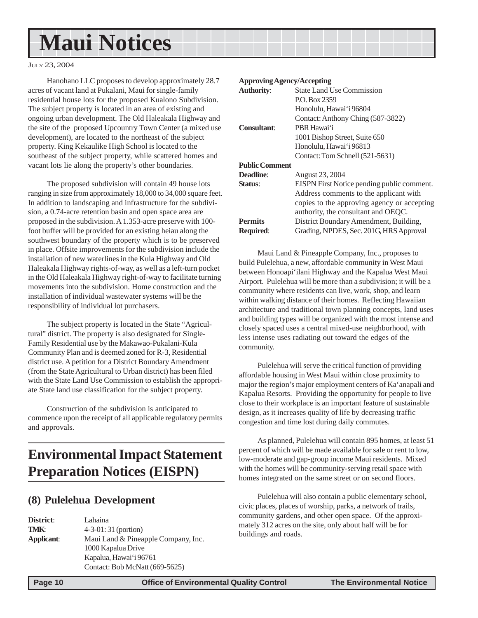# <span id="page-9-0"></span>**Maui Notices**

#### JULY 23, 2004

Hanohano LLC proposes to develop approximately 28.7 acres of vacant land at Pukalani, Maui for single-family residential house lots for the proposed Kualono Subdivision. The subject property is located in an area of existing and ongoing urban development. The Old Haleakala Highway and the site of the proposed Upcountry Town Center (a mixed use development), are located to the northeast of the subject property. King Kekaulike High School is located to the southeast of the subject property, while scattered homes and vacant lots lie along the property's other boundaries.

The proposed subdivision will contain 49 house lots ranging in size from approximately 18,000 to 34,000 square feet. In addition to landscaping and infrastructure for the subdivision, a 0.74-acre retention basin and open space area are proposed in the subdivision. A 1.353-acre preserve with 100 foot buffer will be provided for an existing heiau along the southwest boundary of the property which is to be preserved in place. Offsite improvements for the subdivision include the installation of new waterlines in the Kula Highway and Old Haleakala Highway rights-of-way, as well as a left-turn pocket in the Old Haleakala Highway right-of-way to facilitate turning movements into the subdivision. Home construction and the installation of individual wastewater systems will be the responsibility of individual lot purchasers.

The subject property is located in the State "Agricultural" district. The property is also designated for Single-Family Residential use by the Makawao-Pukalani-Kula Community Plan and is deemed zoned for R-3, Residential district use. A petition for a District Boundary Amendment (from the State Agricultural to Urban district) has been filed with the State Land Use Commission to establish the appropriate State land use classification for the subject property.

Construction of the subdivision is anticipated to commence upon the receipt of all applicable regulatory permits and approvals.

### **Environmental Impact Statement Preparation Notices (EISPN)**

#### **(8) Pulelehua Development**

| District:  | Lahaina                             |
|------------|-------------------------------------|
| TMK:       | $4-3-01:31$ (portion)               |
| Applicant: | Maui Land & Pineapple Company, Inc. |
|            | 1000 Kapalua Drive                  |
|            | Kapalua, Hawai'i 96761              |
|            | Contact: Bob McNatt (669-5625)      |

#### **Approving Agency/Accepting**

| $\frac{1}{2}$         |                                             |
|-----------------------|---------------------------------------------|
| <b>Authority:</b>     | <b>State Land Use Commission</b>            |
|                       | P.O. Box 2359                               |
|                       | Honolulu, Hawai'i 96804                     |
|                       | Contact: Anthony Ching (587-3822)           |
| Consultant:           | PBR Hawai'i                                 |
|                       | 1001 Bishop Street, Suite 650               |
|                       | Honolulu, Hawai'i 96813                     |
|                       | Contact: Tom Schnell (521-5631)             |
| <b>Public Comment</b> |                                             |
| <b>Deadline:</b>      | August 23, 2004                             |
| Status:               | EISPN First Notice pending public comment.  |
|                       | Address comments to the applicant with      |
|                       | copies to the approving agency or accepting |
|                       | authority, the consultant and OEQC.         |
| <b>Permits</b>        | District Boundary Amendment, Building,      |
| <b>Required:</b>      | Grading, NPDES, Sec. 201G, HRS Approval     |
|                       |                                             |

Maui Land & Pineapple Company, Inc., proposes to build Pulelehua, a new, affordable community in West Maui between Honoapi'ilani Highway and the Kapalua West Maui Airport. Pulelehua will be more than a subdivision; it will be a community where residents can live, work, shop, and learn within walking distance of their homes. Reflecting Hawaiian architecture and traditional town planning concepts, land uses and building types will be organized with the most intense and closely spaced uses a central mixed-use neighborhood, with less intense uses radiating out toward the edges of the community.

Pulelehua will serve the critical function of providing affordable housing in West Maui within close proximity to major the region's major employment centers of Ka'anapali and Kapalua Resorts. Providing the opportunity for people to live close to their workplace is an important feature of sustainable design, as it increases quality of life by decreasing traffic congestion and time lost during daily commutes.

As planned, Pulelehua will contain 895 homes, at least 51 percent of which will be made available for sale or rent to low, low-moderate and gap-group income Maui residents. Mixed with the homes will be community-serving retail space with homes integrated on the same street or on second floors.

Pulelehua will also contain a public elementary school, civic places, places of worship, parks, a network of trails, community gardens, and other open space. Of the approximately 312 acres on the site, only about half will be for buildings and roads.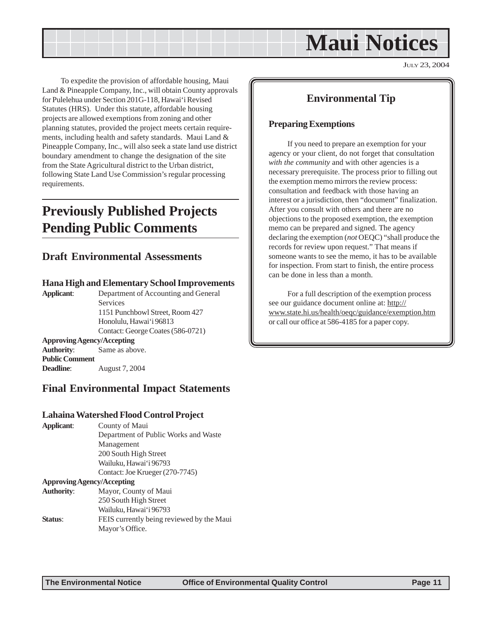### **Maui Notices**

JULY 23, 2004

<span id="page-10-0"></span>To expedite the provision of affordable housing, Maui Land & Pineapple Company, Inc., will obtain County approvals for Pulelehua under Section 201G-118, Hawai'i Revised Statutes (HRS). Under this statute, affordable housing projects are allowed exemptions from zoning and other planning statutes, provided the project meets certain requirements, including health and safety standards. Maui Land & Pineapple Company, Inc., will also seek a state land use district boundary amendment to change the designation of the site from the State Agricultural district to the Urban district, following State Land Use Commission's regular processing requirements.

### **Previously Published Projects Pending Public Comments**

#### **Draft Environmental Assessments**

#### **Hana High and Elementary School Improvements**

**Applicant**: Department of Accounting and General Services 1151 Punchbowl Street, Room 427

Honolulu, Hawai'i 96813 Contact: George Coates (586-0721)

#### **Approving Agency/Accepting**

**Authority**: Same as above. **Public Comment Deadline**: August 7, 2004

#### **Final Environmental Impact Statements**

#### **Lahaina Watershed Flood Control Project**

| Applicant:        | County of Maui                            |
|-------------------|-------------------------------------------|
|                   | Department of Public Works and Waste      |
|                   | Management                                |
|                   | 200 South High Street                     |
|                   | Wailuku, Hawai'i 96793                    |
|                   | Contact: Joe Krueger (270-7745)           |
|                   | <b>Approving Agency/Accepting</b>         |
| <b>Authority:</b> | Mayor, County of Maui                     |
|                   | 250 South High Street                     |
|                   | Wailuku, Hawai'i 96793                    |
| Status:           | FEIS currently being reviewed by the Maui |
|                   | Mayor's Office.                           |

### **Environmental Tip**

#### **Preparing Exemptions**

If you need to prepare an exemption for your agency or your client, do not forget that consultation *with the community* and with other agencies is a necessary prerequisite. The process prior to filling out the exemption memo mirrors the review process: consultation and feedback with those having an interest or a jurisdiction, then "document" finalization. After you consult with others and there are no objections to the proposed exemption, the exemption memo can be prepared and signed. The agency declaring the exemption (*not* OEQC) "shall produce the records for review upon request." That means if someone wants to see the memo, it has to be available for inspection. From start to finish, the entire process can be done in less than a month.

For a full description of the exemption process see our guidance document online at: http:// www.state.hi.us/health/oeqc/guidance/exemption.htm or call our office at 586-4185 for a paper copy.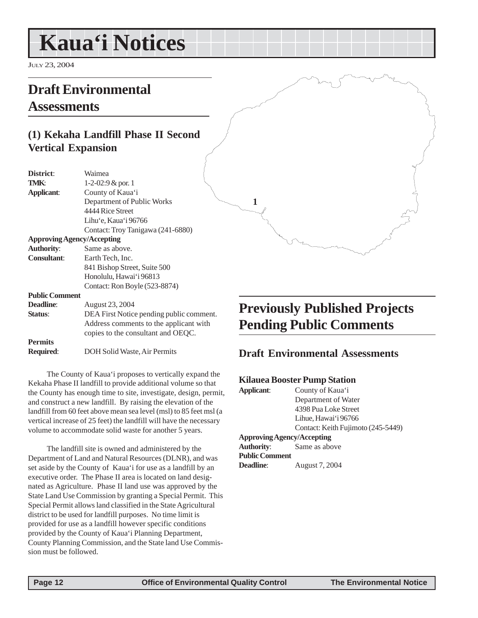# <span id="page-11-0"></span>**Kaua'i Notices**

JULY 23, 2004

### **Draft Environmental Assessments**

#### **(1) Kekaha Landfill Phase II Second Vertical Expansion**

| District:                         | Waimea                                   |
|-----------------------------------|------------------------------------------|
| TMK:                              | 1-2-02:9 $\&$ por. 1                     |
| Applicant:                        | County of Kaua'i                         |
|                                   | Department of Public Works               |
|                                   | 4444 Rice Street                         |
|                                   | Lihu'e, Kaua'i 96766                     |
|                                   | Contact: Troy Tanigawa (241-6880)        |
| <b>Approving Agency/Accepting</b> |                                          |
| <b>Authority:</b>                 | Same as above.                           |
| <b>Consultant:</b>                | Earth Tech, Inc.                         |
|                                   | 841 Bishop Street, Suite 500             |
|                                   | Honolulu, Hawai'i 96813                  |
|                                   | Contact: Ron Boyle (523-8874)            |
| <b>Public Comment</b>             |                                          |
| <b>Deadline:</b>                  | August 23, 2004                          |
| Status:                           | DEA First Notice pending public comment. |
|                                   | Address comments to the applicant with   |
|                                   | copies to the consultant and OEQC.       |
| <b>Permits</b>                    |                                          |
| Required:                         | DOH Solid Waste, Air Permits             |
|                                   |                                          |

The County of Kaua'i proposes to vertically expand the Kekaha Phase II landfill to provide additional volume so that the County has enough time to site, investigate, design, permit, and construct a new landfill. By raising the elevation of the landfill from 60 feet above mean sea level (msl) to 85 feet msl (a vertical increase of 25 feet) the landfill will have the necessary volume to accommodate solid waste for another 5 years.

The landfill site is owned and administered by the Department of Land and Natural Resources (DLNR), and was set aside by the County of Kaua'i for use as a landfill by an executive order. The Phase II area is located on land designated as Agriculture. Phase II land use was approved by the State Land Use Commission by granting a Special Permit. This Special Permit allows land classified in the State Agricultural district to be used for landfill purposes. No time limit is provided for use as a landfill however specific conditions provided by the County of Kaua'i Planning Department, County Planning Commission, and the State land Use Commission must be followed.

### **Previously Published Projects Pending Public Comments**

#### **Draft Environmental Assessments**

#### **Kilauea Booster Pump Station**

**1**

| Applicant:                        | County of Kaua'i                   |
|-----------------------------------|------------------------------------|
|                                   | Department of Water                |
|                                   | 4398 Pua Loke Street               |
|                                   | Lihue, Hawai'i 96766               |
|                                   | Contact: Keith Fujimoto (245-5449) |
| <b>Approving Agency/Accepting</b> |                                    |
| <b>Authority:</b>                 | Same as above                      |
| <b>Public Comment</b>             |                                    |
| <b>Deadline:</b>                  | August 7, 2004                     |
|                                   |                                    |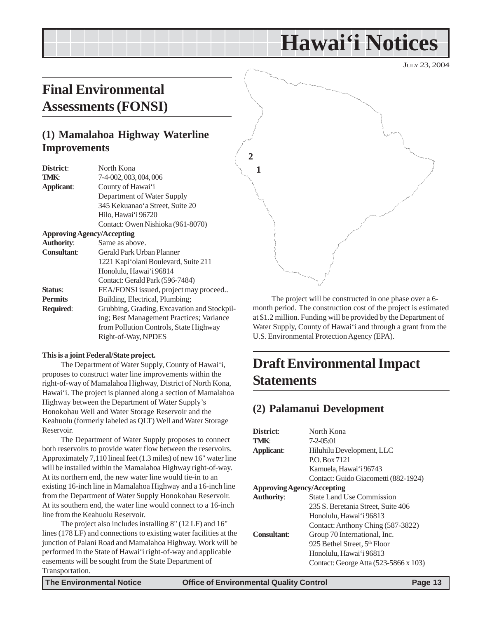### **Hawai'i Notices**

JULY 23, 2004

### <span id="page-12-0"></span>**Final Environmental Assessments (FONSI)**

#### **(1) Mamalahoa Highway Waterline Improvements**

| District:          | North Kona                                  |
|--------------------|---------------------------------------------|
| <b>TMK:</b>        | 7-4-002, 003, 004, 006                      |
| <b>Applicant:</b>  | County of Hawai'i                           |
|                    | Department of Water Supply                  |
|                    | 345 Kekuanao'a Street, Suite 20             |
|                    | Hilo, Hawaiʻi 96720                         |
|                    | Contact: Owen Nishioka (961-8070)           |
|                    | <b>Approving Agency/Accepting</b>           |
| <b>Authority:</b>  | Same as above.                              |
| <b>Consultant:</b> | Gerald Park Urban Planner                   |
|                    | 1221 Kapi'olani Boulevard, Suite 211        |
|                    | Honolulu, Hawai'i 96814                     |
|                    | Contact: Gerald Park (596-7484)             |
| Status:            | FEA/FONSI issued, project may proceed       |
| <b>Permits</b>     | Building, Electrical, Plumbing;             |
| <b>Required:</b>   | Grubbing, Grading, Excavation and Stockpil- |
|                    | ing; Best Management Practices; Variance    |
|                    | from Pollution Controls, State Highway      |
|                    | Right-of-Way, NPDES                         |

#### **This is a joint Federal/State project.**

The Department of Water Supply, County of Hawai'i, proposes to construct water line improvements within the right-of-way of Mamalahoa Highway, District of North Kona, Hawai'i. The project is planned along a section of Mamalahoa Highway between the Department of Water Supply's Honokohau Well and Water Storage Reservoir and the Keahuolu (formerly labeled as QLT) Well and Water Storage Reservoir.

The Department of Water Supply proposes to connect both reservoirs to provide water flow between the reservoirs. Approximately 7,110 lineal feet (1.3 miles) of new 16" water line will be installed within the Mamalahoa Highway right-of-way. At its northern end, the new water line would tie-in to an existing 16-inch line in Mamalahoa Highway and a 16-inch line from the Department of Water Supply Honokohau Reservoir. At its southern end, the water line would connect to a 16-inch line from the Keahuolu Reservoir.

The project also includes installing 8" (12 LF) and 16" lines (178 LF) and connections to existing water facilities at the junction of Palani Road and Mamalahoa Highway. Work will be performed in the State of Hawai'i right-of-way and applicable easements will be sought from the State Department of Transportation.



The project will be constructed in one phase over a 6 month period. The construction cost of the project is estimated at \$1.2 million. Funding will be provided by the Department of Water Supply, County of Hawai'i and through a grant from the U.S. Environmental Protection Agency (EPA).

### **Draft Environmental Impact Statements**

#### **(2) Palamanui Development**

| District:                         | North Kona                            |  |
|-----------------------------------|---------------------------------------|--|
| TMK:                              | $7 - 2 - 05:01$                       |  |
| <b>Applicant:</b>                 | Hiluhilu Development, LLC             |  |
|                                   | P.O. Box 7121                         |  |
|                                   | Kamuela, Hawai'i 96743                |  |
|                                   | Contact: Guido Giacometti (882-1924)  |  |
| <b>Approving Agency/Accepting</b> |                                       |  |
| <b>Authority:</b>                 | <b>State Land Use Commission</b>      |  |
|                                   | 235 S. Beretania Street, Suite 406    |  |
|                                   | Honolulu, Hawai'i 96813               |  |
|                                   | Contact: Anthony Ching (587-3822)     |  |
| <b>Consultant:</b>                | Group 70 International, Inc.          |  |
|                                   | 925 Bethel Street, 5th Floor          |  |
|                                   | Honolulu, Hawai'i 96813               |  |
|                                   | Contact: George Atta (523-5866 x 103) |  |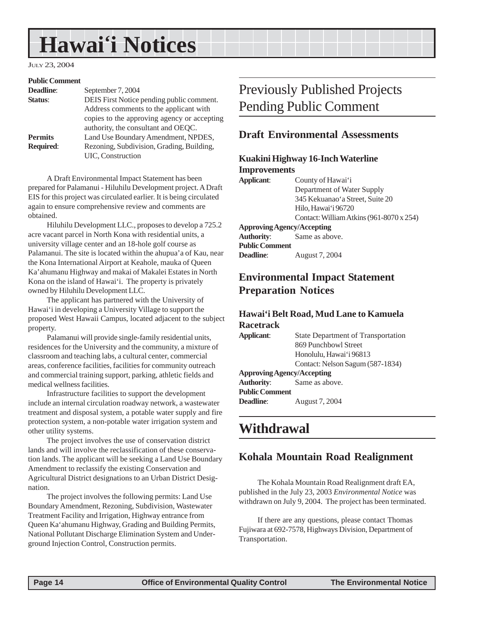# <span id="page-13-0"></span>**Hawai'i Notices**

JULY 23, 2004

#### **Public Comment**

| <b>Deadline:</b> | September 7, 2004                           |
|------------------|---------------------------------------------|
| Status:          | DEIS First Notice pending public comment.   |
|                  | Address comments to the applicant with      |
|                  | copies to the approving agency or accepting |
|                  | authority, the consultant and OEQC.         |
| <b>Permits</b>   | Land Use Boundary Amendment, NPDES,         |
| <b>Required:</b> | Rezoning, Subdivision, Grading, Building,   |
|                  | <b>UIC</b> , Construction                   |

A Draft Environmental Impact Statement has been prepared for Palamanui - Hiluhilu Development project. A Draft EIS for this project was circulated earlier. It is being circulated again to ensure comprehensive review and comments are obtained.

Hiluhilu Development LLC., proposes to develop a 725.2 acre vacant parcel in North Kona with residential units, a university village center and an 18-hole golf course as Palamanui. The site is located within the ahupua'a of Kau, near the Kona International Airport at Keahole, mauka of Queen Ka'ahumanu Highway and makai of Makalei Estates in North Kona on the island of Hawai'i. The property is privately owned by Hiluhilu Development LLC.

The applicant has partnered with the University of Hawai'i in developing a University Village to support the proposed West Hawaii Campus, located adjacent to the subject property.

Palamanui will provide single-family residential units, residences for the University and the community, a mixture of classroom and teaching labs, a cultural center, commercial areas, conference facilities, facilities for community outreach and commercial training support, parking, athletic fields and medical wellness facilities.

Infrastructure facilities to support the development include an internal circulation roadway network, a wastewater treatment and disposal system, a potable water supply and fire protection system, a non-potable water irrigation system and other utility systems.

The project involves the use of conservation district lands and will involve the reclassification of these conservation lands. The applicant will be seeking a Land Use Boundary Amendment to reclassify the existing Conservation and Agricultural District designations to an Urban District Designation.

The project involves the following permits: Land Use Boundary Amendment, Rezoning, Subdivision, Wastewater Treatment Facility and Irrigation, Highway entrance from Queen Ka'ahumanu Highway, Grading and Building Permits, National Pollutant Discharge Elimination System and Underground Injection Control, Construction permits.

### Previously Published Projects Pending Public Comment

#### **Draft Environmental Assessments**

#### **Kuakini Highway 16-Inch Waterline Improvements**

| Applicant:                        | County of Hawai'i                        |
|-----------------------------------|------------------------------------------|
|                                   | Department of Water Supply               |
|                                   | 345 Kekuanao'a Street, Suite 20          |
|                                   | Hilo, Hawai'i 96720                      |
|                                   | Contact: William Atkins (961-8070 x 254) |
| <b>Approving Agency/Accepting</b> |                                          |
| <b>Authority:</b>                 | Same as above.                           |
| <b>Public Comment</b>             |                                          |
| <b>Deadline:</b>                  | August 7, 2004                           |

#### **Environmental Impact Statement Preparation Notices**

#### **Hawai'i Belt Road, Mud Lane to Kamuela Racetrack**

| Applicant:                        | <b>State Department of Transportation</b> |
|-----------------------------------|-------------------------------------------|
|                                   | 869 Punchbowl Street                      |
|                                   | Honolulu, Hawai'i 96813                   |
|                                   | Contact: Nelson Sagum (587-1834)          |
| <b>Approving Agency/Accepting</b> |                                           |
| <b>Authority:</b>                 | Same as above.                            |
| <b>Public Comment</b>             |                                           |
| <b>Deadline:</b>                  | August 7, 2004                            |

### **Withdrawal**

#### **Kohala Mountain Road Realignment**

The Kohala Mountain Road Realignment draft EA, published in the July 23, 2003 *Environmental Notice* was withdrawn on July 9, 2004. The project has been terminated.

If there are any questions, please contact Thomas Fujiwara at 692-7578, Highways Division, Department of Transportation.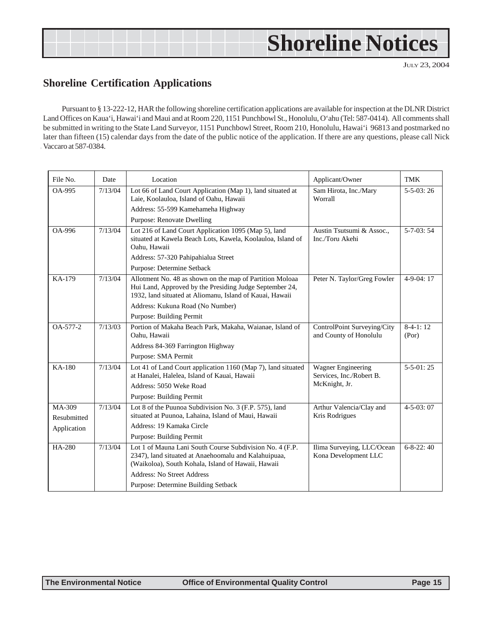# <span id="page-14-0"></span>**Shoreline Notices**

JULY 23, 2004

#### **Shoreline Certification Applications**

Pursuant to § 13-222-12, HAR the following shoreline certification applications are available for inspection at the DLNR District Land Offices on Kaua'i, Hawai'i and Maui and at Room 220, 1151 Punchbowl St., Honolulu, O'ahu (Tel: 587-0414). All comments shall be submitted in writing to the State Land Surveyor, 1151 Punchbowl Street, Room 210, Honolulu, Hawai'i 96813 and postmarked no later than fifteen (15) calendar days from the date of the public notice of the application. If there are any questions, please call Nick Vaccaro at 587-0384.

| File No.       | Date    | Location                                                                                                                                                                        | Applicant/Owner                                       | <b>TMK</b>          |
|----------------|---------|---------------------------------------------------------------------------------------------------------------------------------------------------------------------------------|-------------------------------------------------------|---------------------|
| <b>OA-995</b>  | 7/13/04 | Lot 66 of Land Court Application (Map 1), land situated at<br>Laie, Koolauloa, Island of Oahu, Hawaii                                                                           | Sam Hirota, Inc./Mary<br>Worrall                      | $5 - 5 - 03$ : 26   |
|                |         | Address: 55-599 Kamehameha Highway                                                                                                                                              |                                                       |                     |
|                |         | <b>Purpose: Renovate Dwelling</b>                                                                                                                                               |                                                       |                     |
| <b>OA-996</b>  | 7/13/04 | Lot 216 of Land Court Application 1095 (Map 5), land<br>situated at Kawela Beach Lots, Kawela, Koolauloa, Island of<br>Oahu, Hawaii                                             | Austin Tsutsumi & Assoc.,<br>Inc./Toru Akehi          | $5 - 7 - 03:54$     |
|                |         | Address: 57-320 Pahipahialua Street                                                                                                                                             |                                                       |                     |
|                |         | Purpose: Determine Setback                                                                                                                                                      |                                                       |                     |
| KA-179         | 7/13/04 | Allotment No. 48 as shown on the map of Partition Moloaa<br>Hui Land, Approved by the Presiding Judge September 24,<br>1932, land situated at Aliomanu, Island of Kauai, Hawaii | Peter N. Taylor/Greg Fowler                           | $4-9-04:17$         |
|                |         | Address: Kukuna Road (No Number)                                                                                                                                                |                                                       |                     |
|                |         | Purpose: Building Permit                                                                                                                                                        |                                                       |                     |
| $OA - 577 - 2$ | 7/13/03 | Portion of Makaha Beach Park, Makaha, Waianae, Island of<br>Oahu, Hawaii                                                                                                        | ControlPoint Surveying/City<br>and County of Honolulu | $8-4-1:12$<br>(Por) |
|                |         | Address 84-369 Farrington Highway                                                                                                                                               |                                                       |                     |
|                |         | Purpose: SMA Permit                                                                                                                                                             |                                                       |                     |
| <b>KA-180</b>  | 7/13/04 | Lot 41 of Land Court application 1160 (Map 7), land situated<br>at Hanalei, Halelea, Island of Kauai, Hawaii                                                                    | <b>Wagner Engineering</b><br>Services, Inc./Robert B. | $5-5-01:25$         |
|                |         | Address: 5050 Weke Road                                                                                                                                                         | McKnight, Jr.                                         |                     |
|                |         | Purpose: Building Permit                                                                                                                                                        |                                                       |                     |
| MA-309         | 7/13/04 | Lot 8 of the Puunoa Subdivision No. 3 (F.P. 575), land                                                                                                                          | Arthur Valencia/Clay and                              | $4 - 5 - 03:07$     |
| Resubmitted    |         | situated at Puunoa, Lahaina, Island of Maui, Hawaii                                                                                                                             | Kris Rodrigues                                        |                     |
| Application    |         | Address: 19 Kamaka Circle                                                                                                                                                       |                                                       |                     |
|                |         | Purpose: Building Permit                                                                                                                                                        |                                                       |                     |
| HA-280         | 7/13/04 | Lot 1 of Mauna Lani South Course Subdivision No. 4 (F.P.<br>2347), land situated at Anaehoomalu and Kalahuipuaa,<br>(Waikoloa), South Kohala, Island of Hawaii, Hawaii          | Ilima Surveying, LLC/Ocean<br>Kona Development LLC    | $6 - 8 - 22$ : 40   |
|                |         | Address: No Street Address                                                                                                                                                      |                                                       |                     |
|                |         | Purpose: Determine Building Setback                                                                                                                                             |                                                       |                     |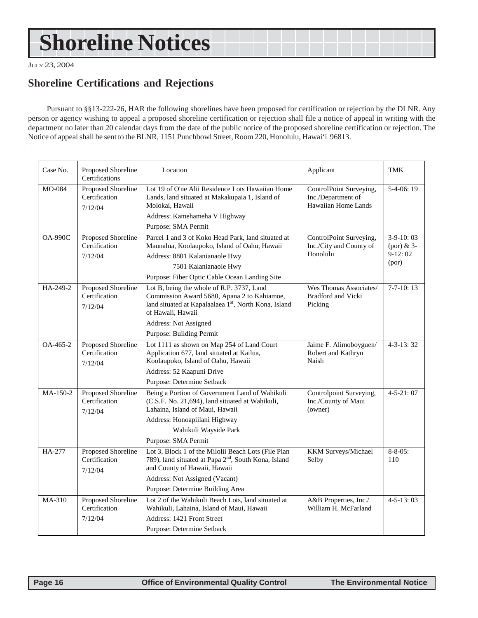# <span id="page-15-0"></span>**Shoreline Notices**

JULY 23, 2004

#### **Shoreline Certifications and Rejections**

Pursuant to §§13-222-26, HAR the following shorelines have been proposed for certification or rejection by the DLNR. Any person or agency wishing to appeal a proposed shoreline certification or rejection shall file a notice of appeal in writing with the department no later than 20 calendar days from the date of the public notice of the proposed shoreline certification or rejection. The Notice of appeal shall be sent to the BLNR, 1151 Punchbowl Street, Room 220, Honolulu, Hawai'i 96813.

| Case No.       | Proposed Shoreline<br>Certifications                  | Location                                                                                                                                                                                                                                | Applicant                                                            | TMK                                               |
|----------------|-------------------------------------------------------|-----------------------------------------------------------------------------------------------------------------------------------------------------------------------------------------------------------------------------------------|----------------------------------------------------------------------|---------------------------------------------------|
| MO-084         | Proposed Shoreline<br>Certification<br>7/12/04        | Lot 19 of O'ne Alii Residence Lots Hawaiian Home<br>Lands, land situated at Makakupaia 1, Island of<br>Molokai, Hawaii<br>Address: Kamehameha V Highway<br>Purpose: SMA Permit                                                          | ControlPoint Surveying,<br>Inc./Department of<br>Hawaiian Home Lands | $5-4-06:19$                                       |
| <b>OA-990C</b> | Proposed Shoreline<br>Certification<br>7/12/04        | Parcel 1 and 3 of Koko Head Park, land situated at<br>Maunalua, Koolaupoko, Island of Oahu, Hawaii<br>Address: 8801 Kalanianaole Hwy<br>7501 Kalanianaole Hwy<br>Purpose: Fiber Optic Cable Ocean Landing Site                          | ControlPoint Surveying,<br>Inc./City and County of<br>Honolulu       | $3-9-10:03$<br>$(por)$ & 3-<br>$9-12:02$<br>(por) |
| HA-249-2       | Proposed Shoreline<br>Certification<br>7/12/04        | Lot B, being the whole of R.P. 3737, Land<br>Commission Award 5680, Apana 2 to Kahiamoe,<br>land situated at Kapalaalaea 1 <sup>st</sup> , North Kona, Island<br>of Hawaii, Hawaii<br>Address: Not Assigned<br>Purpose: Building Permit | Wes Thomas Associates/<br><b>Bradford and Vicki</b><br>Picking       | $7-7-10:13$                                       |
| OA-465-2       | Proposed Shoreline<br>Certification<br>7/12/04        | Lot 1111 as shown on Map 254 of Land Court<br>Application 677, land situated at Kailua,<br>Koolaupoko, Island of Oahu, Hawaii<br>Address: 52 Kaapuni Drive<br>Purpose: Determine Setback                                                | Jaime F. Alimoboyguen/<br>Robert and Kathryn<br>Naish                | $4 - 3 - 13:32$                                   |
| MA-150-2       | Proposed Shoreline<br>Certification<br>7/12/04        | Being a Portion of Government Land of Wahikuli<br>(C.S.F. No. 21,694), land situated at Wahikuli,<br>Lahaina, Island of Maui, Hawaii<br>Address: Honoapiilani Highway<br>Wahikuli Wayside Park<br>Purpose: SMA Permit                   | Controlpoint Surveying,<br>Inc./County of Maui<br>(owner)            | $4 - 5 - 21:07$                                   |
| HA-277         | Proposed Shoreline<br>Certification<br>7/12/04        | Lot 3, Block 1 of the Milolii Beach Lots (File Plan<br>789), land situated at Papa 2 <sup>nd</sup> , South Kona, Island<br>and County of Hawaii, Hawaii<br>Address: Not Assigned (Vacant)<br>Purpose: Determine Building Area           | KKM Surveys/Michael<br>Selby                                         | $8 - 8 - 05$ :<br>110                             |
| MA-310         | <b>Proposed Shoreline</b><br>Certification<br>7/12/04 | Lot 2 of the Wahikuli Beach Lots, land situated at<br>Wahikuli, Lahaina, Island of Maui, Hawaii<br>Address: 1421 Front Street<br>Purpose: Determine Setback                                                                             | A&B Properties, Inc./<br>William H. McFarland                        | $4 - 5 - 13:03$                                   |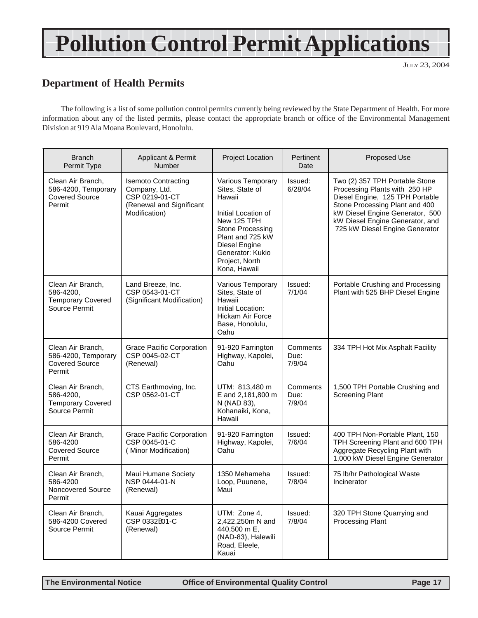# **Pollution Control Permit Applications**

JULY 23, 2004

#### **Department of Health Permits**

The following is a list of some pollution control permits currently being reviewed by the State Department of Health. For more information about any of the listed permits, please contact the appropriate branch or office of the Environmental Management Division at 919 Ala Moana Boulevard, Honolulu.

| <b>Branch</b><br>Permit Type                                                | Applicant & Permit<br><b>Number</b>                                                                        | <b>Project Location</b>                                                                                                                                                                             | Pertinent<br>Date          | Proposed Use                                                                                                                                                                                                                                 |
|-----------------------------------------------------------------------------|------------------------------------------------------------------------------------------------------------|-----------------------------------------------------------------------------------------------------------------------------------------------------------------------------------------------------|----------------------------|----------------------------------------------------------------------------------------------------------------------------------------------------------------------------------------------------------------------------------------------|
| Clean Air Branch,<br>586-4200, Temporary<br><b>Covered Source</b><br>Permit | <b>Isemoto Contracting</b><br>Company, Ltd.<br>CSP 0219-01-CT<br>(Renewal and Significant<br>Modification) | Various Temporary<br>Sites, State of<br>Hawaii<br>Initial Location of<br>New 125 TPH<br>Stone Processing<br>Plant and 725 kW<br>Diesel Engine<br>Generator: Kukio<br>Project, North<br>Kona, Hawaii | Issued:<br>6/28/04         | Two (2) 357 TPH Portable Stone<br>Processing Plants with 250 HP<br>Diesel Engine, 125 TPH Portable<br>Stone Processing Plant and 400<br>kW Diesel Engine Generator, 500<br>kW Diesel Engine Generator, and<br>725 kW Diesel Engine Generator |
| Clean Air Branch,<br>586-4200,<br><b>Temporary Covered</b><br>Source Permit | Land Breeze, Inc.<br>CSP 0543-01-CT<br>(Significant Modification)                                          | Various Temporary<br>Sites, State of<br>Hawaii<br>Initial Location:<br><b>Hickam Air Force</b><br>Base, Honolulu,<br>Oahu                                                                           | Issued:<br>7/1/04          | Portable Crushing and Processing<br>Plant with 525 BHP Diesel Engine                                                                                                                                                                         |
| Clean Air Branch,<br>586-4200, Temporary<br><b>Covered Source</b><br>Permit | <b>Grace Pacific Corporation</b><br>CSP 0045-02-CT<br>(Renewal)                                            | 91-920 Farrington<br>Highway, Kapolei,<br>Oahu                                                                                                                                                      | Comments<br>Due:<br>7/9/04 | 334 TPH Hot Mix Asphalt Facility                                                                                                                                                                                                             |
| Clean Air Branch,<br>586-4200,<br><b>Temporary Covered</b><br>Source Permit | CTS Earthmoving, Inc.<br>CSP 0562-01-CT                                                                    | UTM: 813,480 m<br>E and 2,181,800 m<br>N (NAD 83),<br>Kohanaiki, Kona,<br>Hawaii                                                                                                                    | Comments<br>Due:<br>7/9/04 | 1,500 TPH Portable Crushing and<br><b>Screening Plant</b>                                                                                                                                                                                    |
| Clean Air Branch,<br>586-4200<br><b>Covered Source</b><br>Permit            | <b>Grace Pacific Corporation</b><br>CSP 0045-01-C<br>(Minor Modification)                                  | 91-920 Farrington<br>Highway, Kapolei,<br>Oahu                                                                                                                                                      | Issued:<br>7/6/04          | 400 TPH Non-Portable Plant, 150<br>TPH Screening Plant and 600 TPH<br>Aggregate Recycling Plant with<br>1,000 kW Diesel Engine Generator                                                                                                     |
| Clean Air Branch,<br>586-4200<br>Noncovered Source<br>Permit                | Maui Humane Society<br>NSP 0444-01-N<br>(Renewal)                                                          | 1350 Mehameha<br>Loop, Puunene,<br>Maui                                                                                                                                                             | Issued:<br>7/8/04          | 75 lb/hr Pathological Waste<br>Incinerator                                                                                                                                                                                                   |
| Clean Air Branch,<br>586-4200 Covered<br>Source Permit                      | Kauai Aggregates<br>CSP 0332B01-C<br>(Renewal)                                                             | UTM: Zone 4,<br>2,422,250m N and<br>440,500 m E,<br>(NAD-83), Halewili<br>Road, Eleele,<br>Kauai                                                                                                    | Issued:<br>7/8/04          | 320 TPH Stone Quarrying and<br>Processing Plant                                                                                                                                                                                              |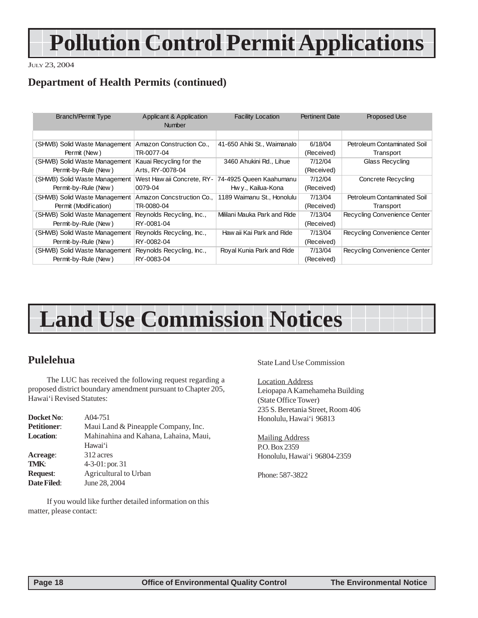# <span id="page-17-0"></span>**Pollution Control Permit Applications**

JULY 23, 2004

#### **Department of Health Permits (continued)**

| <b>Branch/Permit Type</b>     | Applicant & Application<br><b>Number</b> | <b>Facility Location</b>     | <b>Pertinent Date</b> | Proposed Use                 |
|-------------------------------|------------------------------------------|------------------------------|-----------------------|------------------------------|
|                               |                                          |                              |                       |                              |
| (SHWB) Solid Waste Management | Amazon Construction Co                   | 41-650 Ahiki St., Waimanalo  | 6/18/04               | Petroleum Contaminated Soil  |
| Permit (New)                  | TR-0077-04                               |                              | (Received)            | Transport                    |
| (SHWB) Solid Waste Management | Kauai Recycling for the                  | 3460 Ahukini Rd., Lihue      | 7/12/04               | <b>Glass Recycling</b>       |
| Permit-by-Rule (New)          | Arts, RY-0078-04                         |                              | (Received)            |                              |
| (SHWB) Solid Waste Management | West Haw aii Concrete, RY-               | 74-4925 Queen Kaahumanu      | 7/12/04               | Concrete Recycling           |
| Permit-by-Rule (New)          | 0079-04                                  | Hw y., Kailua-Kona           | (Received)            |                              |
| (SHWB) Solid Waste Management | Amazon Concstruction Co.,                | 1189 Waimanu St., Honolulu   | 7/13/04               | Petroleum Contaminated Soil  |
| Permit (Modification)         | TR-0080-04                               |                              | (Received)            | Transport                    |
| (SHWB) Solid Waste Management | Reynolds Recycling, Inc.,                | Mililani Mauka Park and Ride | 7/13/04               | Recycling Convenience Center |
| Permit-by-Rule (New)          | RY-0081-04                               |                              | (Received)            |                              |
| (SHWB) Solid Waste Management | Reynolds Recycling, Inc.,                | Haw aii Kai Park and Ride    | 7/13/04               | Recycling Convenience Center |
| Permit-by-Rule (New)          | RY-0082-04                               |                              | (Received)            |                              |
| (SHWB) Solid Waste Management | Reynolds Recycling, Inc.,                | Royal Kunia Park and Ride    | 7/13/04               | Recycling Convenience Center |
| Permit-by-Rule (New)          | RY-0083-04                               |                              | (Received)            |                              |

# **Land Use Commission Notices**

#### **Pulelehua**

The LUC has received the following request regarding a proposed district boundary amendment pursuant to Chapter 205, Hawai'i Revised Statutes:

| Maui Land & Pineapple Company, Inc.   |  |
|---------------------------------------|--|
| Mahinahina and Kahana, Lahaina, Maui, |  |
|                                       |  |
|                                       |  |
|                                       |  |
| Agricultural to Urban                 |  |
|                                       |  |
|                                       |  |

If you would like further detailed information on this matter, please contact:

State Land Use Commission

Location Address Leiopapa A Kamehameha Building (State Office Tower) 235 S. Beretania Street, Room 406 Honolulu, Hawai'i 96813

Mailing Address P.O. Box 2359 Honolulu, Hawai'i 96804-2359

Phone: 587-3822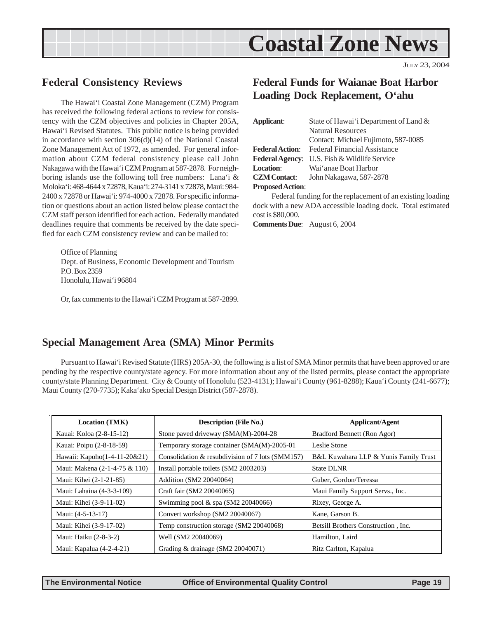<span id="page-18-0"></span>

JULY 23, 2004

#### **Federal Consistency Reviews**

The Hawai'i Coastal Zone Management (CZM) Program has received the following federal actions to review for consistency with the CZM objectives and policies in Chapter 205A, Hawai'i Revised Statutes. This public notice is being provided in accordance with section 306(d)(14) of the National Coastal Zone Management Act of 1972, as amended. For general information about CZM federal consistency please call John Nakagawa with the Hawai'i CZM Program at 587-2878. For neighboring islands use the following toll free numbers: Lana'i & Moloka'i: 468-4644 x 72878, Kaua'i: 274-3141 x 72878, Maui: 984- 2400 x 72878 or Hawai'i: 974-4000 x 72878. For specific information or questions about an action listed below please contact the CZM staff person identified for each action. Federally mandated deadlines require that comments be received by the date specified for each CZM consistency review and can be mailed to:

Office of Planning Dept. of Business, Economic Development and Tourism P.O. Box 2359 Honolulu, Hawai'i 96804

Or, fax comments to the Hawai'i CZM Program at 587-2899.

#### **Federal Funds for Waianae Boat Harbor Loading Dock Replacement, O'ahu**

| Applicant:              | State of Hawai'i Department of Land & |
|-------------------------|---------------------------------------|
|                         | <b>Natural Resources</b>              |
|                         | Contact: Michael Fujimoto, 587-0085   |
| <b>Federal Action:</b>  | <b>Federal Financial Assistance</b>   |
| <b>Federal Agency:</b>  | U.S. Fish & Wildlife Service          |
| Location:               | Wai 'anae Boat Harbor                 |
| <b>CZM Contact:</b>     | John Nakagawa, 587-2878               |
| <b>Proposed Action:</b> |                                       |

Federal funding for the replacement of an existing loading dock with a new ADA accessible loading dock. Total estimated cost is \$80,000.

**Comments Due**: August 6, 2004

#### **Special Management Area (SMA) Minor Permits**

Pursuant to Hawai'i Revised Statute (HRS) 205A-30, the following is a list of SMA Minor permits that have been approved or are pending by the respective county/state agency. For more information about any of the listed permits, please contact the appropriate county/state Planning Department. City & County of Honolulu (523-4131); Hawai'i County (961-8288); Kaua'i County (241-6677); Maui County (270-7735); Kaka'ako Special Design District (587-2878).

| <b>Location</b> (TMK)         | <b>Description (File No.)</b>                    | Applicant/Agent                       |
|-------------------------------|--------------------------------------------------|---------------------------------------|
| Kauai: Koloa (2-8-15-12)      | Stone paved driveway (SMA(M)-2004-28             | Bradford Bennett (Ron Agor)           |
| Kauai: Poipu (2-8-18-59)      | Temporary storage container (SMA(M)-2005-01      | Leslie Stone                          |
| Hawaii: Kapoho(1-4-11-20&21)  | Consolidation & resubdivision of 7 lots (SMM157) | B&L Kuwahara LLP & Yunis Family Trust |
| Maui: Makena (2-1-4-75 & 110) | Install portable toilets (SM2 2003203)           | <b>State DLNR</b>                     |
| Maui: Kihei (2-1-21-85)       | Addition (SM2 20040064)                          | Guber, Gordon/Teressa                 |
| Maui: Lahaina (4-3-3-109)     | Craft fair (SM2 20040065)                        | Maui Family Support Servs., Inc.      |
| Maui: Kihei (3-9-11-02)       | Swimming pool $\&$ spa (SM2 20040066)            | Rixey, George A.                      |
| Maui: (4-5-13-17)             | Convert workshop (SM2 20040067)                  | Kane, Garson B.                       |
| Maui: Kihei (3-9-17-02)       | Temp construction storage (SM2 20040068)         | Betsill Brothers Construction, Inc.   |
| Maui: Haiku (2-8-3-2)         | Well (SM2 20040069)                              | Hamilton, Laird                       |
| Maui: Kapalua (4-2-4-21)      | Grading & drainage (SM2 20040071)                | Ritz Carlton, Kapalua                 |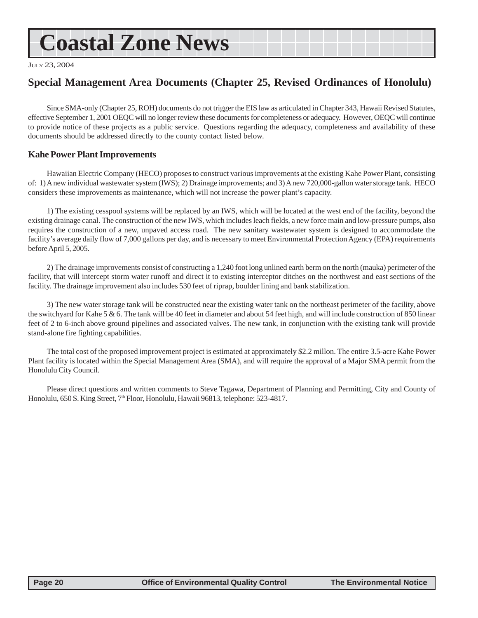# <span id="page-19-0"></span>**Coastal Zone News**

JULY 23, 2004

#### **Special Management Area Documents (Chapter 25, Revised Ordinances of Honolulu)**

Since SMA-only (Chapter 25, ROH) documents do not trigger the EIS law as articulated in Chapter 343, Hawaii Revised Statutes, effective September 1, 2001 OEQC will no longer review these documents for completeness or adequacy. However, OEQC will continue to provide notice of these projects as a public service. Questions regarding the adequacy, completeness and availability of these documents should be addressed directly to the county contact listed below.

#### **Kahe Power Plant Improvements**

Hawaiian Electric Company (HECO) proposes to construct various improvements at the existing Kahe Power Plant, consisting of: 1) A new individual wastewater system (IWS); 2) Drainage improvements; and 3) A new 720,000-gallon water storage tank. HECO considers these improvements as maintenance, which will not increase the power plant's capacity.

1) The existing cesspool systems will be replaced by an IWS, which will be located at the west end of the facility, beyond the existing drainage canal. The construction of the new IWS, which includes leach fields, a new force main and low-pressure pumps, also requires the construction of a new, unpaved access road. The new sanitary wastewater system is designed to accommodate the facility's average daily flow of 7,000 gallons per day, and is necessary to meet Environmental Protection Agency (EPA) requirements before April 5, 2005.

2) The drainage improvements consist of constructing a 1,240 foot long unlined earth berm on the north (mauka) perimeter of the facility, that will intercept storm water runoff and direct it to existing interceptor ditches on the northwest and east sections of the facility. The drainage improvement also includes 530 feet of riprap, boulder lining and bank stabilization.

3) The new water storage tank will be constructed near the existing water tank on the northeast perimeter of the facility, above the switchyard for Kahe 5 & 6. The tank will be 40 feet in diameter and about 54 feet high, and will include construction of 850 linear feet of 2 to 6-inch above ground pipelines and associated valves. The new tank, in conjunction with the existing tank will provide stand-alone fire fighting capabilities.

The total cost of the proposed improvement project is estimated at approximately \$2.2 millon. The entire 3.5-acre Kahe Power Plant facility is located within the Special Management Area (SMA), and will require the approval of a Major SMA permit from the Honolulu City Council.

Please direct questions and written comments to Steve Tagawa, Department of Planning and Permitting, City and County of Honolulu, 650 S. King Street, 7<sup>th</sup> Floor, Honolulu, Hawaii 96813, telephone: 523-4817.